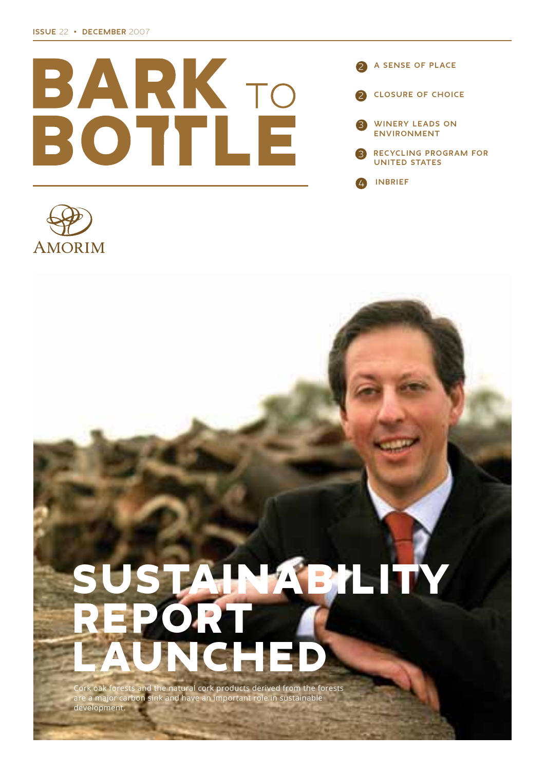



# STAINABILITY PORT LAUNCHED

Cork oak forests and the natural cork products derived from the forests are a major carbon sink and have an important role in sustainable development.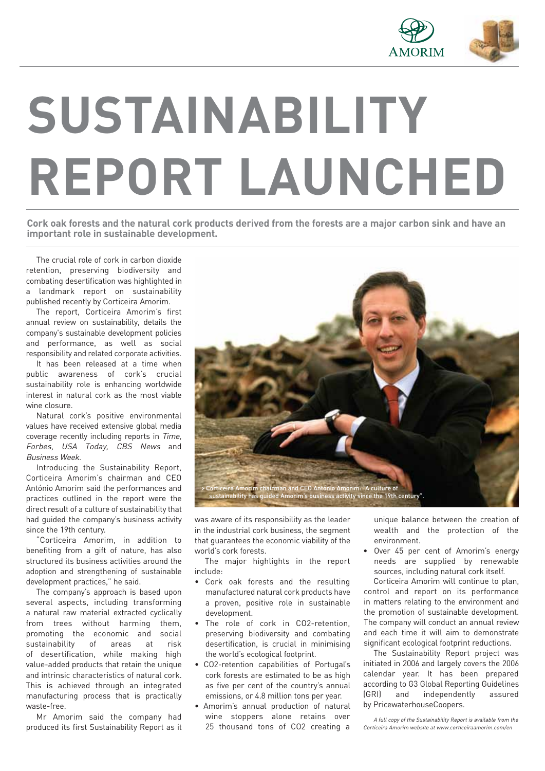

# **SUSTAINABILITY REPORT LAUNCHED**

Cork oak forests and the natural cork products derived from the forests are a major carbon sink and have an **important role in sustainable development.**

The crucial role of cork in carbon dioxide retention, preserving biodiversity and combating desertification was highlighted in a landmark report on sustainability published recently by Corticeira Amorim.

The report, Corticeira Amorim's first annual review on sustainability, details the company's sustainable development policies and performance, as well as social responsibility and related corporate activities.

It has been released at a time when public awareness of cork's crucial sustainability role is enhancing worldwide interest in natural cork as the most viable wine closure.

Natural cork's positive environmental values have received extensive global media coverage recently including reports in Time, Forbes, USA Today, CBS News and Business Week.

Introducing the Sustainability Report, Corticeira Amorim's chairman and CEO António Amorim said the performances and practices outlined in the report were the direct result of a culture of sustainability that had guided the company's business activity since the 19th century.

"Corticeira Amorim, in addition to benefiting from a gift of nature, has also structured its business activities around the adoption and strengthening of sustainable development practices," he said.

The company's approach is based upon several aspects, including transforming a natural raw material extracted cyclically from trees without harming them, promoting the economic and social sustainability of areas at risk of desertification, while making high value-added products that retain the unique and intrinsic characteristics of natural cork. This is achieved through an integrated manufacturing process that is practically waste-free.

Mr Amorim said the company had produced its first Sustainability Report as it



was aware of its responsibility as the leader in the industrial cork business, the segment that guarantees the economic viability of the world's cork forests.

The major highlights in the report include:

- ǩ Cork oak forests and the resulting manufactured natural cork products have a proven, positive role in sustainable development.
- The role of cork in CO2-retention, preserving biodiversity and combating desertification, is crucial in minimising the world's ecological footprint.
- ǩ CO2-retention capabilities of Portugal's cork forests are estimated to be as high as five per cent of the country's annual emissions, or 4.8 million tons per year.
- ǩ Amorim's annual production of natural wine stoppers alone retains over 25 thousand tons of CO2 creating a

unique balance between the creation of wealth and the protection of the environment.

Over 45 per cent of Amorim's energy needs are supplied by renewable sources, including natural cork itself.

Corticeira Amorim will continue to plan, control and report on its performance in matters relating to the environment and the promotion of sustainable development. The company will conduct an annual review and each time it will aim to demonstrate significant ecological footprint reductions.

The Sustainability Report project was initiated in 2006 and largely covers the 2006 calendar year. It has been prepared according to G3 Global Reporting Guidelines (GRI) and independently assured by PricewaterhouseCoopers.

A full copy of the Sustainability Report is available from the Corticeira Amorim website at www.corticeiraamorim.com/en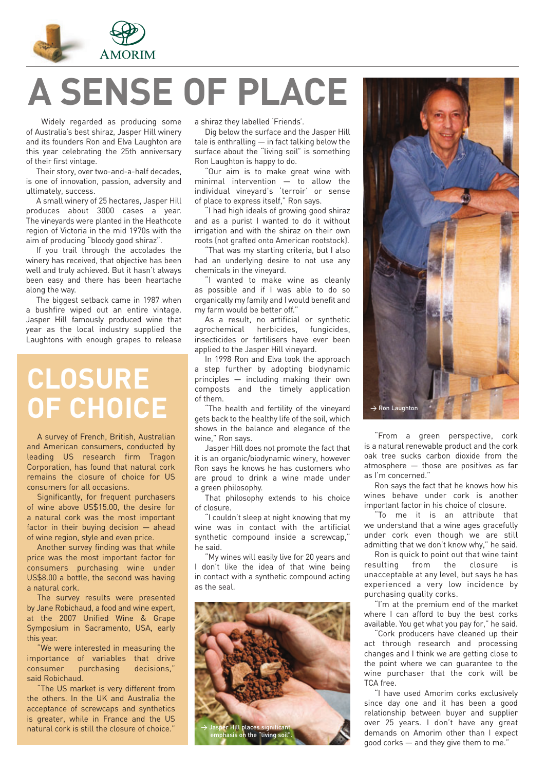

# **A SENSE OF PLACE**

Widely regarded as producing some of Australia's best shiraz, Jasper Hill winery and its founders Ron and Elva Laughton are this year celebrating the 25th anniversary of their first vintage.

Their story, over two-and-a-half decades, is one of innovation, passion, adversity and ultimately, success.

A small winery of 25 hectares, Jasper Hill produces about 3000 cases a year. The vineyards were planted in the Heathcote region of Victoria in the mid 1970s with the aim of producing "bloody good shiraz".

If you trail through the accolades the winery has received, that objective has been well and truly achieved. But it hasn't always been easy and there has been heartache along the way.

The biggest setback came in 1987 when a bushfire wiped out an entire vintage. Jasper Hill famously produced wine that year as the local industry supplied the Laughtons with enough grapes to release

### **CLOSURE OF CHOICE**

A survey of French, British, Australian and American consumers, conducted by leading US research firm Tragon Corporation, has found that natural cork remains the closure of choice for US consumers for all occasions.

Significantly, for frequent purchasers of wine above US\$15.00, the desire for a natural cork was the most important factor in their buying decision — ahead of wine region, style and even price.

Another survey finding was that while price was the most important factor for consumers purchasing wine under US\$8.00 a bottle, the second was having a natural cork.

The survey results were presented by Jane Robichaud, a food and wine expert, at the 2007 Unified Wine & Grape Symposium in Sacramento, USA, early this year.

"We were interested in measuring the importance of variables that drive consumer purchasing decisions," said Robichaud.

"The US market is very different from the others. In the UK and Australia the acceptance of screwcaps and synthetics is greater, while in France and the US natural cork is still the closure of choice."

a shiraz they labelled 'Friends'.

Dig below the surface and the Jasper Hill tale is enthralling — in fact talking below the surface about the "living soil" is something Ron Laughton is happy to do.

Our aim is to make great wine with minimal intervention — to allow the individual vineyard's 'terroir' or sense of place to express itself," Ron says.

"I had high ideals of growing good shiraz and as a purist I wanted to do it without irrigation and with the shiraz on their own roots (not grafted onto American rootstock).

That was my starting criteria, but I also had an underlying desire to not use any chemicals in the vineyard.

"I wanted to make wine as cleanly as possible and if I was able to do so organically my family and I would benefit and my farm would be better off."

As a result, no artificial or synthetic agrochemical herbicides, fungicides, insecticides or fertilisers have ever been applied to the Jasper Hill vineyard.

In 1998 Ron and Elva took the approach a step further by adopting biodynamic principles — including making their own composts and the timely application of them.

The health and fertility of the vinevard gets back to the healthy life of the soil, which shows in the balance and elegance of the wine," Ron says.

Jasper Hill does not promote the fact that it is an organic/biodynamic winery, however Ron says he knows he has customers who are proud to drink a wine made under a green philosophy.

That philosophy extends to his choice of closure.

"I couldn't sleep at night knowing that my wine was in contact with the artificial synthetic compound inside a screwcap," he said.

"My wines will easily live for 20 years and I don't like the idea of that wine being in contact with a synthetic compound acting as the seal.





"From a green perspective, cork is a natural renewable product and the cork oak tree sucks carbon dioxide from the atmosphere — those are positives as far as I'm concerned."

Ron says the fact that he knows how his wines behave under cork is another important factor in his choice of closure.

"To me it is an attribute that we understand that a wine ages gracefully under cork even though we are still admitting that we don't know why," he said.

Ron is quick to point out that wine taint resulting from the closure is unacceptable at any level, but says he has experienced a very low incidence by purchasing quality corks.

"I'm at the premium end of the market where I can afford to buy the best corks available. You get what you pay for," he said.

"Cork producers have cleaned up their act through research and processing changes and I think we are getting close to the point where we can guarantee to the wine purchaser that the cork will be TCA free.

"I have used Amorim corks exclusively since day one and it has been a good relationship between buyer and supplier over 25 years. I don't have any great demands on Amorim other than I expect good corks — and they give them to me."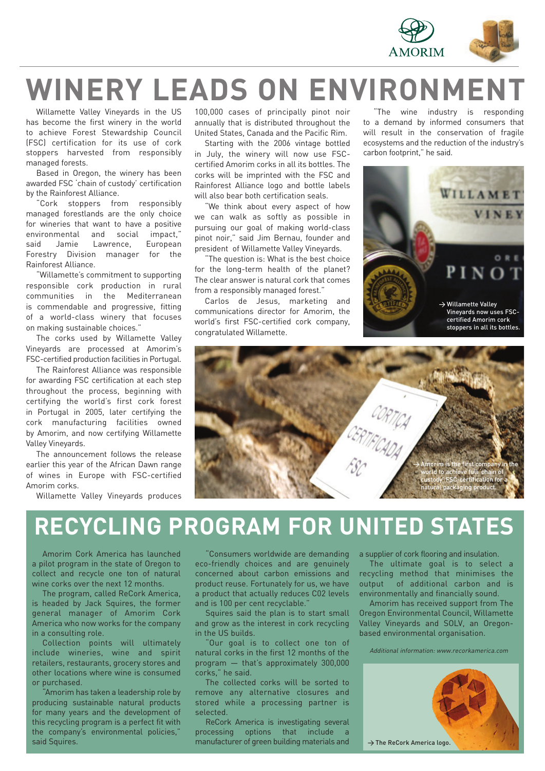

## **WINERY LEADS ON ENVIRONMENT**

Willamette Valley Vineyards in the US has become the first winery in the world to achieve Forest Stewardship Council (FSC) certification for its use of cork stoppers harvested from responsibly managed forests.

Based in Oregon, the winery has been awarded FSC 'chain of custody' certification by the Rainforest Alliance.

"Cork stoppers from responsibly managed forestlands are the only choice for wineries that want to have a positive environmental and social impact," said Jamie Lawrence, European Forestry Division manager for the Rainforest Alliance.

"Willamette's commitment to supporting responsible cork production in rural communities in the Mediterranean is commendable and progressive, fitting of a world-class winery that focuses on making sustainable choices."

The corks used by Willamette Valley Vineyards are processed at Amorim's FSC-certified production facilities in Portugal.

The Rainforest Alliance was responsible for awarding FSC certification at each step throughout the process, beginning with certifying the world's first cork forest in Portugal in 2005, later certifying the cork manufacturing facilities owned by Amorim, and now certifying Willamette Valley Vineyards.

The announcement follows the release earlier this year of the African Dawn range of wines in Europe with FSC-certified Amorim corks.

Willamette Valley Vineyards produces

100,000 cases of principally pinot noir annually that is distributed throughout the United States, Canada and the Pacific Rim.

Starting with the 2006 vintage bottled in July, the winery will now use FSCcertified Amorim corks in all its bottles. The corks will be imprinted with the FSC and Rainforest Alliance logo and bottle labels will also bear both certification seals.

"We think about every aspect of how we can walk as softly as possible in pursuing our goal of making world-class pinot noir," said Jim Bernau, founder and president of Willamette Valley Vineyards.

"The question is: What is the best choice for the long-term health of the planet? The clear answer is natural cork that comes from a responsibly managed forest."

Carlos de Jesus, marketing and communications director for Amorim, the world's first FSC-certified cork company, congratulated Willamette.

"The wine industry is responding to a demand by informed consumers that will result in the conservation of fragile ecosystems and the reduction of the industry's carbon footprint," he said.





### **RECYCLING PROGRAM FOR UNITED STATES**

Amorim Cork America has launched a pilot program in the state of Oregon to collect and recycle one ton of natural wine corks over the next 12 months.

The program, called ReCork America, is headed by Jack Squires, the former general manager of Amorim Cork America who now works for the company in a consulting role.

Collection points will ultimately include wineries, wine and spirit retailers, restaurants, grocery stores and other locations where wine is consumed or purchased.

"Amorim has taken a leadership role by producing sustainable natural products for many years and the development of this recycling program is a perfect fit with the company's environmental policies," said Squires.

"Consumers worldwide are demanding eco-friendly choices and are genuinely concerned about carbon emissions and product reuse. Fortunately for us, we have a product that actually reduces C02 levels and is 100 per cent recyclable."

Squires said the plan is to start small and grow as the interest in cork recycling in the US builds.

Our goal is to collect one ton of natural corks in the first 12 months of the program — that's approximately 300,000 corks," he said.

The collected corks will be sorted to remove any alternative closures and stored while a processing partner is selected.

ReCork America is investigating several processing options that include a manufacturer of green building materials and a supplier of cork flooring and insulation.

The ultimate goal is to select a recycling method that minimises the output of additional carbon and is environmentally and financially sound.

Amorim has received support from The Oregon Environmental Council, Willamette Valley Vineyards and SOLV, an Oregonbased environmental organisation.

Additional information: www.recorkamerica.com